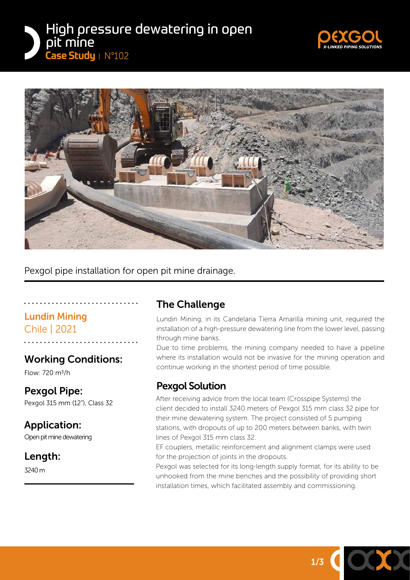





Pexgol pipe installation for open pit mine drainage.

# Lundin Mining

Chile | 2021

# Working Conditions:

Flow: 720 m3/h

## Pexgol Pipe:

Pexgol 315 mm (12"), Class 32

# Application:

Open pit mine dewatering

## Length:

3240 m

# The Challenge

Lundin Mining, in its Candelaria Tierra Amarilla mining unit, required the installation of a high-pressure dewatering line from the lower level, passing through mine banks.

Due to time problems, the mining company needed to have a pipeline where its installation would not be invasive for the mining operation and continue working in the shortest period of time possible.

# Pexgol Solution

After receiving advice from the local team (Crosspipe Systems) the client decided to install 3240 meters of Pexgol 315 mm class 32 pipe for their mine dewatering system. The project consisted of 5 pumping stations, with dropouts of up to 200 meters between banks, with twin lines of Pexgol 315 mm class 32.

EF couplers, metallic reinforcement and alignment clamps were used for the projection of joints in the dropouts.

Pexgol was selected for its long-length supply format, for its ability to be unhooked from the mine benches and the possibility of providing short installation times, which facilitated assembly and commissioning.

1/3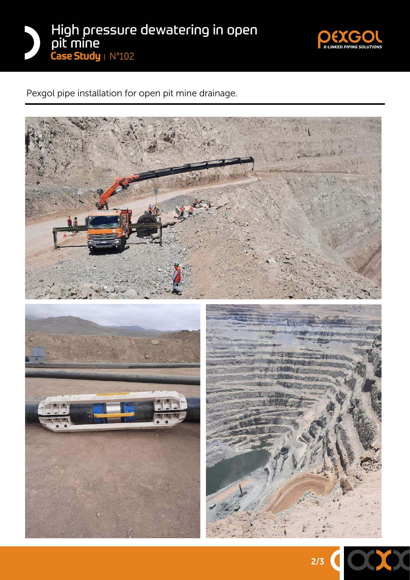



Pexgol pipe installation for open pit mine drainage.



2/3